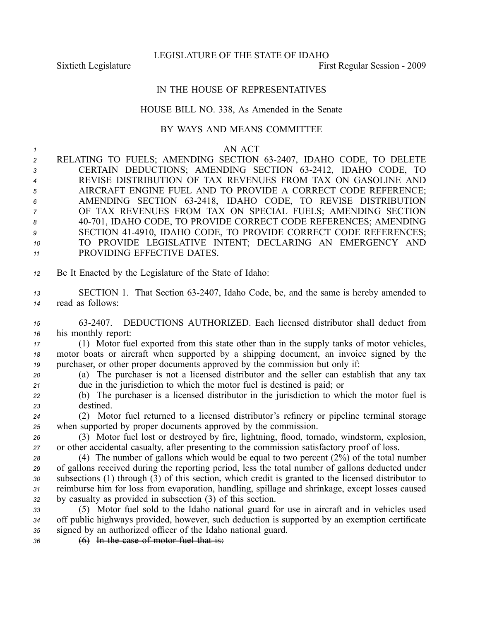LEGISLATURE OF THE STATE OF IDAHO

Sixtieth Legislature **First** Regular Session - 2009

## IN THE HOUSE OF REPRESENTATIVES

## HOUSE BILL NO. 338, As Amended in the Senate

## BY WAYS AND MEANS COMMITTEE

|                 |            | AN<br>ACT |
|-----------------|------------|-----------|
| _ _ _ . _ _ _ _ | __________ |           |

- *<sup>2</sup>* RELATING TO FUELS; AMENDING SECTION 632407, IDAHO CODE, TO DELETE 3 CERTAIN DEDUCTIONS; AMENDING SECTION 63-2412, IDAHO CODE, TO *<sup>4</sup>* REVISE DISTRIBUTION OF TAX REVENUES FROM TAX ON GASOLINE AND *<sup>5</sup>* AIRCRAFT ENGINE FUEL AND TO PROVIDE A CORRECT CODE REFERENCE; *<sup>6</sup>* AMENDING SECTION 632418, IDAHO CODE, TO REVISE DISTRIBUTION *<sup>7</sup>* OF TAX REVENUES FROM TAX ON SPECIAL FUELS; AMENDING SECTION *<sup>8</sup>* 40701, IDAHO CODE, TO PROVIDE CORRECT CODE REFERENCES; AMENDING 9 SECTION 41-4910, IDAHO CODE, TO PROVIDE CORRECT CODE REFERENCES; *<sup>10</sup>* TO PROVIDE LEGISLATIVE INTENT; DECLARING AN EMERGENCY AND *<sup>11</sup>* PROVIDING EFFECTIVE DATES.
- *<sup>12</sup>* Be It Enacted by the Legislature of the State of Idaho:
- 13 SECTION 1. That Section 63-2407, Idaho Code, be, and the same is hereby amended to *<sup>14</sup>* read as follows:
- *<sup>15</sup>* 632407. DEDUCTIONS AUTHORIZED. Each licensed distributor shall deduct from *<sup>16</sup>* his monthly report:
- *<sup>17</sup>* (1) Motor fuel exported from this state other than in the supply tanks of motor vehicles, *<sup>18</sup>* motor boats or aircraft when supported by <sup>a</sup> shipping document, an invoice signed by the *<sup>19</sup>* purchaser, or other proper documents approved by the commission but only if:
- *<sup>20</sup>* (a) The purchaser is not <sup>a</sup> licensed distributor and the seller can establish that any tax *<sup>21</sup>* due in the jurisdiction to which the motor fuel is destined is paid; or
- *<sup>22</sup>* (b) The purchaser is <sup>a</sup> licensed distributor in the jurisdiction to which the motor fuel is *<sup>23</sup>* destined.
- *<sup>24</sup>* (2) Motor fuel returned to <sup>a</sup> licensed distributor's refinery or pipeline terminal storage *<sup>25</sup>* when supported by proper documents approved by the commission.
- *<sup>26</sup>* (3) Motor fuel lost or destroyed by fire, lightning, flood, tornado, windstorm, explosion, *<sup>27</sup>* or other accidental casualty, after presenting to the commission satisfactory proof of loss.
- *<sup>28</sup>* (4) The number of gallons which would be equal to two percen<sup>t</sup> (2%) of the total number *<sup>29</sup>* of gallons received during the reporting period, less the total number of gallons deducted under *<sup>30</sup>* subsections (1) through (3) of this section, which credit is granted to the licensed distributor to *<sup>31</sup>* reimburse him for loss from evaporation, handling, spillage and shrinkage, excep<sup>t</sup> losses caused *<sup>32</sup>* by casualty as provided in subsection (3) of this section.
- *<sup>33</sup>* (5) Motor fuel sold to the Idaho national guard for use in aircraft and in vehicles used *<sup>34</sup>* off public highways provided, however, such deduction is supported by an exemption certificate *<sup>35</sup>* signed by an authorized officer of the Idaho national guard.
- *<sup>36</sup>* (6) In the case of motor fuel that is: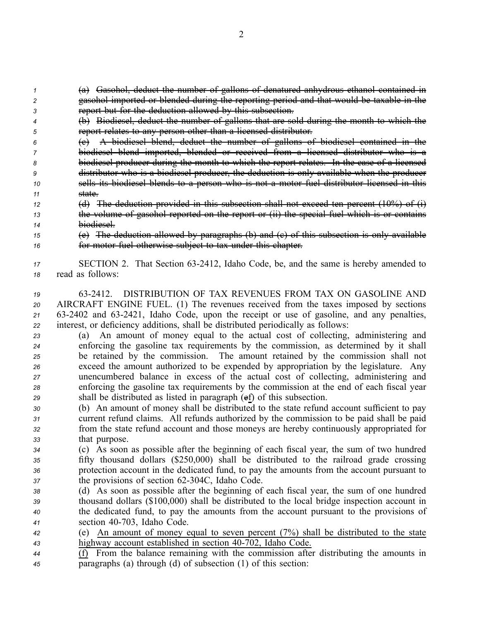*<sup>1</sup>* (a) Gasohol, deduct the number of gallons of denatured anhydrous ethanol contained in *<sup>2</sup>* gasohol imported or blended during the reporting period and that would be taxable in the *<sup>3</sup>* repor<sup>t</sup> but for the deduction allowed by this subsection.

- *<sup>4</sup>* (b) Biodiesel, deduct the number of gallons that are sold during the month to which the *<sup>5</sup>* repor<sup>t</sup> relates to any person other than <sup>a</sup> licensed distributor.
- *<sup>6</sup>* (c) A biodiesel blend, deduct the number of gallons of biodiesel contained in the *<sup>7</sup>* biodiesel blend imported, blended or received from <sup>a</sup> licensed distributor who is <sup>a</sup> *<sup>8</sup>* biodiesel producer during the month to which the repor<sup>t</sup> relates. In the case of <sup>a</sup> licensed *<sup>9</sup>* distributor who is <sup>a</sup> biodiesel producer, the deduction is only available when the producer *<sup>10</sup>* sells its biodiesel blends to <sup>a</sup> person who is not <sup>a</sup> motor fuel distributor licensed in this *11* state.
- *12* (d) The deduction provided in this subsection shall not exceed ten percent  $(10\%)$  of  $(i)$ *<sup>13</sup>* the volume of gasohol reported on the repor<sup>t</sup> or (ii) the special fuel which is or contains *<sup>14</sup>* biodiesel.
- *<sup>15</sup>* (e) The deduction allowed by paragraphs (b) and (c) of this subsection is only available *<sup>16</sup>* for motor fuel otherwise subject to tax under this chapter.
- *<sup>17</sup>* SECTION 2. That Section 632412, Idaho Code, be, and the same is hereby amended to *<sup>18</sup>* read as follows:

 632412. DISTRIBUTION OF TAX REVENUES FROM TAX ON GASOLINE AND AIRCRAFT ENGINE FUEL. (1) The revenues received from the taxes imposed by sections 632402 and 632421, Idaho Code, upon the receipt or use of gasoline, and any penalties, interest, or deficiency additions, shall be distributed periodically as follows:

- *<sup>23</sup>* (a) An amount of money equal to the actual cost of collecting, administering and *<sup>24</sup>* enforcing the gasoline tax requirements by the commission, as determined by it shall *<sup>25</sup>* be retained by the commission. The amount retained by the commission shall not *<sup>26</sup>* exceed the amount authorized to be expended by appropriation by the legislature. Any *<sup>27</sup>* unencumbered balance in excess of the actual cost of collecting, administering and *<sup>28</sup>* enforcing the gasoline tax requirements by the commission at the end of each fiscal year *<sup>29</sup>* shall be distributed as listed in paragraph (ef) of this subsection.
- *<sup>30</sup>* (b) An amount of money shall be distributed to the state refund account sufficient to pay *<sup>31</sup>* current refund claims. All refunds authorized by the commission to be paid shall be paid *<sup>32</sup>* from the state refund account and those moneys are hereby continuously appropriated for *<sup>33</sup>* that purpose.
- *<sup>34</sup>* (c) As soon as possible after the beginning of each fiscal year, the sum of two hundred *<sup>35</sup>* fifty thousand dollars (\$250,000) shall be distributed to the railroad grade crossing *<sup>36</sup>* protection account in the dedicated fund, to pay the amounts from the account pursuan<sup>t</sup> to *37* the provisions of section 62-304C, Idaho Code.
- *<sup>38</sup>* (d) As soon as possible after the beginning of each fiscal year, the sum of one hundred *<sup>39</sup>* thousand dollars (\$100,000) shall be distributed to the local bridge inspection account in *<sup>40</sup>* the dedicated fund, to pay the amounts from the account pursuan<sup>t</sup> to the provisions of *<sup>41</sup>* section 40703, Idaho Code.
- *<sup>42</sup>* (e) An amount of money equal to seven percen<sup>t</sup> (7%) shall be distributed to the state 43 highway account established in section 40-702, Idaho Code.
- *<sup>44</sup>* (f) From the balance remaining with the commission after distributing the amounts in *<sup>45</sup>* paragraphs (a) through (d) of subsection (1) of this section: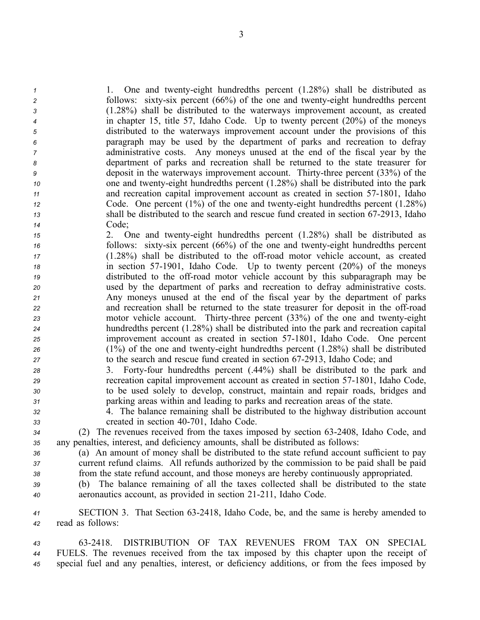1. One and twenty-eight hundredths percent (1.28%) shall be distributed as follows: sixty-six percent (66%) of the one and twenty-eight hundredths percent (1.28%) shall be distributed to the waterways improvement account, as created in chapter 15, title 57, Idaho Code. Up to twenty percen<sup>t</sup> (20%) of the moneys distributed to the waterways improvement account under the provisions of this paragraph may be used by the department of parks and recreation to defray administrative costs. Any moneys unused at the end of the fiscal year by the department of parks and recreation shall be returned to the state treasurer for deposit in the waterways improvement account. Thirty-three percent (33%) of the one and twenty-eight hundredths percent (1.28%) shall be distributed into the park and recreation capital improvement account as created in section 571801, Idaho Code. One percent (1%) of the one and twenty-eight hundredths percent (1.28%) <sup>13</sup> shall be distributed to the search and rescue fund created in section 67-2913, Idaho *<sup>14</sup>* Code;

 2. One and twentyeight hundredths percen<sup>t</sup> (1.28%) shall be distributed as follows: sixty-six percent (66%) of the one and twenty-eight hundredths percent (1.28%) shall be distributed to the offroad motor vehicle account, as created in section 571901, Idaho Code. Up to twenty percen<sup>t</sup> (20%) of the moneys distributed to the off-road motor vehicle account by this subparagraph may be used by the department of parks and recreation to defray administrative costs. Any moneys unused at the end of the fiscal year by the department of parks 22 and recreation shall be returned to the state treasurer for deposit in the off-road motor vehicle account. Thirty-three percent (33%) of the one and twenty-eight hundredths percen<sup>t</sup> (1.28%) shall be distributed into the park and recreation capital improvement account as created in section 57-1801, Idaho Code. One percent (1%) of the one and twentyeight hundredths percen<sup>t</sup> (1.28%) shall be distributed to the search and rescue fund created in section 672913, Idaho Code; and

- 28 3. Forty-four hundredths percent (.44%) shall be distributed to the park and *<sup>29</sup>* recreation capital improvement account as created in section 571801, Idaho Code, *<sup>30</sup>* to be used solely to develop, construct, maintain and repair roads, bridges and *<sup>31</sup>* parking areas within and leading to parks and recreation areas of the state.
- *<sup>32</sup>* 4. The balance remaining shall be distributed to the highway distribution account *<sup>33</sup>* created in section 40701, Idaho Code.

*<sup>34</sup>* (2) The revenues received from the taxes imposed by section 632408, Idaho Code, and *<sup>35</sup>* any penalties, interest, and deficiency amounts, shall be distributed as follows:

*<sup>36</sup>* (a) An amount of money shall be distributed to the state refund account sufficient to pay *<sup>37</sup>* current refund claims. All refunds authorized by the commission to be paid shall be paid *<sup>38</sup>* from the state refund account, and those moneys are hereby continuously appropriated.

*<sup>39</sup>* (b) The balance remaining of all the taxes collected shall be distributed to the state *<sup>40</sup>* aeronautics account, as provided in section 21211, Idaho Code.

*<sup>41</sup>* SECTION 3. That Section 632418, Idaho Code, be, and the same is hereby amended to *<sup>42</sup>* read as follows:

*43* 632418. DISTRIBUTION OF TAX REVENUES FROM TAX ON SPECIAL *<sup>44</sup>* FUELS. The revenues received from the tax imposed by this chapter upon the receipt of *<sup>45</sup>* special fuel and any penalties, interest, or deficiency additions, or from the fees imposed by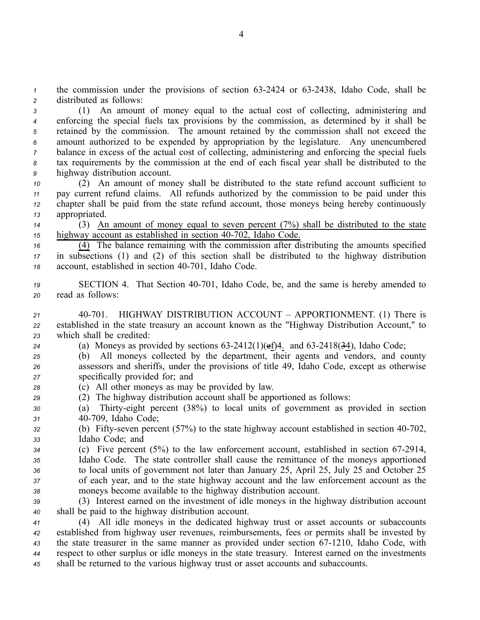*1* the commission under the provisions of section 63-2424 or 63-2438, Idaho Code, shall be *<sup>2</sup>* distributed as follows:

 (1) An amount of money equal to the actual cost of collecting, administering and enforcing the special fuels tax provisions by the commission, as determined by it shall be retained by the commission. The amount retained by the commission shall not exceed the amount authorized to be expended by appropriation by the legislature. Any unencumbered balance in excess of the actual cost of collecting, administering and enforcing the special fuels tax requirements by the commission at the end of each fiscal year shall be distributed to the highway distribution account.

 (2) An amount of money shall be distributed to the state refund account sufficient to pay current refund claims. All refunds authorized by the commission to be paid under this chapter shall be paid from the state refund account, those moneys being hereby continuously appropriated.

*<sup>14</sup>* (3) An amount of money equal to seven percen<sup>t</sup> (7%) shall be distributed to the state 15 highway account as established in section 40-702, Idaho Code.

*<sup>16</sup>* (4) The balance remaining with the commission after distributing the amounts specified *<sup>17</sup>* in subsections (1) and (2) of this section shall be distributed to the highway distribution 18 account, established in section 40-701, Idaho Code.

19 **SECTION 4.** That Section 40-701, Idaho Code, be, and the same is hereby amended to *<sup>20</sup>* read as follows:

*<sup>21</sup>* 40701. HIGHWAY DISTRIBUTION ACCOUNT – APPORTIONMENT. (1) There is *<sup>22</sup>* established in the state treasury an account known as the "Highway Distribution Account," to *<sup>23</sup>* which shall be credited:

- 24 (a) Moneys as provided by sections  $63-2412(1)(ef)4$ . and  $63-2418(34)$ , Idaho Code;
- *<sup>25</sup>* (b) All moneys collected by the department, their agents and vendors, and county *<sup>26</sup>* assessors and sheriffs, under the provisions of title 49, Idaho Code, excep<sup>t</sup> as otherwise *<sup>27</sup>* specifically provided for; and
- *<sup>28</sup>* (c) All other moneys as may be provided by law.
- *<sup>29</sup>* (2) The highway distribution account shall be apportioned as follows:
- *<sup>30</sup>* (a) Thirtyeight percen<sup>t</sup> (38%) to local units of governmen<sup>t</sup> as provided in section *<sup>31</sup>* 40709, Idaho Code;
- 32 (b) Fifty-seven percent (57%) to the state highway account established in section 40-702, *<sup>33</sup>* Idaho Code; and
- *<sup>34</sup>* (c) Five percen<sup>t</sup> (5%) to the law enforcement account, established in section 672914, *<sup>35</sup>* Idaho Code. The state controller shall cause the remittance of the moneys apportioned *<sup>36</sup>* to local units of governmen<sup>t</sup> not later than January 25, April 25, July 25 and October 25 *<sup>37</sup>* of each year, and to the state highway account and the law enforcement account as the *<sup>38</sup>* moneys become available to the highway distribution account.
- *<sup>39</sup>* (3) Interest earned on the investment of idle moneys in the highway distribution account *<sup>40</sup>* shall be paid to the highway distribution account.

 (4) All idle moneys in the dedicated highway trust or asset accounts or subaccounts established from highway user revenues, reimbursements, fees or permits shall be invested by 43 the state treasurer in the same manner as provided under section 67-1210, Idaho Code, with respec<sup>t</sup> to other surplus or idle moneys in the state treasury. Interest earned on the investments shall be returned to the various highway trust or asset accounts and subaccounts.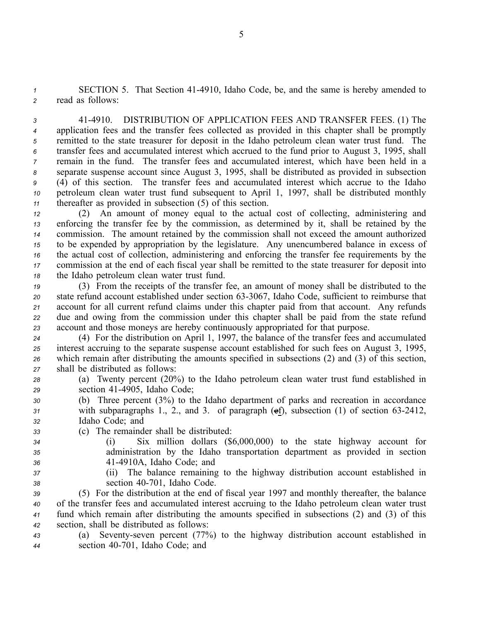1 **SECTION 5.** That Section 41-4910, Idaho Code, be, and the same is hereby amended to *<sup>2</sup>* read as follows:

 414910. DISTRIBUTION OF APPLICATION FEES AND TRANSFER FEES. (1) The application fees and the transfer fees collected as provided in this chapter shall be promptly remitted to the state treasurer for deposit in the Idaho petroleum clean water trust fund. The transfer fees and accumulated interest which accrued to the fund prior to August 3, 1995, shall remain in the fund. The transfer fees and accumulated interest, which have been held in <sup>a</sup> separate suspense account since August 3, 1995, shall be distributed as provided in subsection (4) of this section. The transfer fees and accumulated interest which accrue to the Idaho petroleum clean water trust fund subsequent to April 1, 1997, shall be distributed monthly thereafter as provided in subsection (5) of this section.

 (2) An amount of money equal to the actual cost of collecting, administering and enforcing the transfer fee by the commission, as determined by it, shall be retained by the commission. The amount retained by the commission shall not exceed the amount authorized to be expended by appropriation by the legislature. Any unencumbered balance in excess of the actual cost of collection, administering and enforcing the transfer fee requirements by the commission at the end of each fiscal year shall be remitted to the state treasurer for deposit into the Idaho petroleum clean water trust fund.

 (3) From the receipts of the transfer fee, an amount of money shall be distributed to the 20 state refund account established under section 63-3067, Idaho Code, sufficient to reimburse that account for all current refund claims under this chapter paid from that account. Any refunds due and owing from the commission under this chapter shall be paid from the state refund account and those moneys are hereby continuously appropriated for that purpose.

 (4) For the distribution on April 1, 1997, the balance of the transfer fees and accumulated interest accruing to the separate suspense account established for such fees on August 3, 1995, which remain after distributing the amounts specified in subsections (2) and (3) of this section, shall be distributed as follows:

- *<sup>28</sup>* (a) Twenty percen<sup>t</sup> (20%) to the Idaho petroleum clean water trust fund established in *<sup>29</sup>* section 414905, Idaho Code;
- *<sup>30</sup>* (b) Three percen<sup>t</sup> (3%) to the Idaho department of parks and recreation in accordance *<sup>31</sup>* with subparagraphs 1., 2., and 3. of paragraph (ef), subsection (1) of section 632412, *<sup>32</sup>* Idaho Code; and
- *<sup>33</sup>* (c) The remainder shall be distributed:
- 
- 
- 
- *<sup>34</sup>* (i) Six million dollars (\$6,000,000) to the state highway account for *<sup>35</sup>* administration by the Idaho transportation department as provided in section
- *<sup>36</sup>* 414910A, Idaho Code; and
- 
- *<sup>37</sup>* (ii) The balance remaining to the highway distribution account established in *<sup>38</sup>* section 40701, Idaho Code.

 (5) For the distribution at the end of fiscal year 1997 and monthly thereafter, the balance of the transfer fees and accumulated interest accruing to the Idaho petroleum clean water trust fund which remain after distributing the amounts specified in subsections (2) and (3) of this section, shall be distributed as follows:

*<sup>43</sup>* (a) Seventyseven percen<sup>t</sup> (77%) to the highway distribution account established in *<sup>44</sup>* section 40701, Idaho Code; and